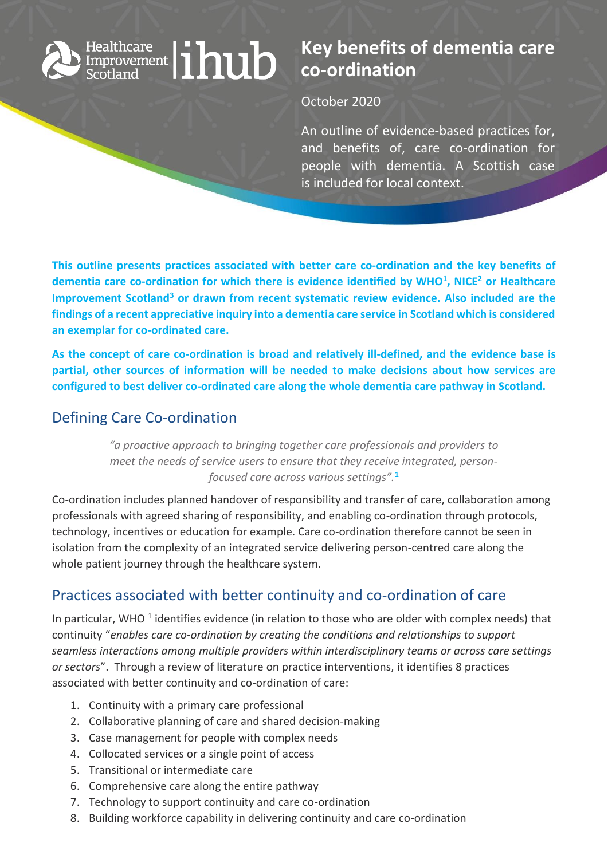# $\mathcal{H}^{\text{Healthcare}}_{\text{Emprowement}}|\textbf{in}$

# **Key benefits of dementia care co-ordination**

#### October 2020

An outline of evidence-based practices for, and benefits of, care co-ordination for people with dementia. A Scottish case is included for local context.

**This outline presents practices associated with better care co-ordination and the key benefits of dementia care co-ordination for which there is evidence identified by WHO<sup>1</sup> , NICE<sup>2</sup> or Healthcare Improvement Scotland<sup>3</sup> or drawn from recent systematic review evidence. Also included are the findings of a recent appreciative inquiry into a dementia care service in Scotland which is considered an exemplar for co-ordinated care.**

**As the concept of care co-ordination is broad and relatively ill-defined, and the evidence base is partial, other sources of information will be needed to make decisions about how services are configured to best deliver co-ordinated care along the whole dementia care pathway in Scotland.** 

## Defining Care Co-ordination

*"a proactive approach to bringing together care professionals and providers to meet the needs of service users to ensure that they receive integrated, personfocused care across various settings".***<sup>1</sup>**

Co-ordination includes planned handover of responsibility and transfer of care, collaboration among professionals with agreed sharing of responsibility, and enabling co-ordination through protocols, technology, incentives or education for example. Care co-ordination therefore cannot be seen in isolation from the complexity of an integrated service delivering person-centred care along the whole patient journey through the healthcare system.

# Practices associated with better continuity and co-ordination of care

In particular, WHO  $^1$  identifies evidence (in relation to those who are older with complex needs) that continuity "*enables care co-ordination by creating the conditions and relationships to support seamless interactions among multiple providers within interdisciplinary teams or across care settings or sectors*". Through a review of literature on practice interventions, it identifies 8 practices associated with better continuity and co-ordination of care:

- 1. Continuity with a primary care professional
- 2. Collaborative planning of care and shared decision-making
- 3. Case management for people with complex needs
- 4. Collocated services or a single point of access
- 5. Transitional or intermediate care
- 6. Comprehensive care along the entire pathway
- 7. Technology to support continuity and care co-ordination
- 8. Building workforce capability in delivering continuity and care co-ordination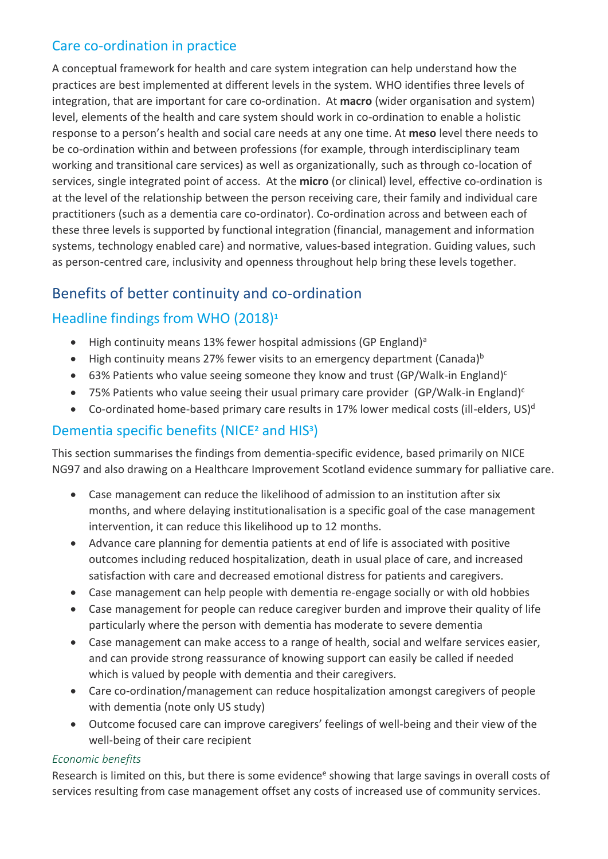## Care co-ordination in practice

A conceptual framework for health and care system integration can help understand how the practices are best implemented at different levels in the system. WHO identifies three levels of integration, that are important for care co-ordination. At **macro** (wider organisation and system) level, elements of the health and care system should work in co-ordination to enable a holistic response to a person's health and social care needs at any one time. At **meso** level there needs to be co-ordination within and between professions (for example, through interdisciplinary team working and transitional care services) as well as organizationally, such as through co-location of services, single integrated point of access. At the **micro** (or clinical) level, effective co-ordination is at the level of the relationship between the person receiving care, their family and individual care practitioners (such as a dementia care co-ordinator). Co-ordination across and between each of these three levels is supported by functional integration (financial, management and information systems, technology enabled care) and normative, values-based integration. Guiding values, such as person-centred care, inclusivity and openness throughout help bring these levels together.

# Benefits of better continuity and co-ordination

## Headline findings from WHO (2018)**<sup>1</sup>**

- $\bullet$  High continuity means 13% fewer hospital admissions (GP England)<sup>a</sup>
- $\bullet$  High continuity means 27% fewer visits to an emergency department (Canada)<sup>b</sup>
- <span id="page-1-0"></span>63% Patients who value seeing someone they know and trust (GP/Walk-in England)<sup>c</sup>
- 75% Patients who value seeing their usual primary care provider (GP/Walk-in England[\)](#page-1-0) $c$
- $\bullet$  Co-ordinated home-based primary care results in 17% lower medical costs (ill-elders, US)<sup>d</sup>

## Dementia specific benefits (NICE**<sup>2</sup>** and HIS**<sup>3</sup>** )

This section summarises the findings from dementia-specific evidence, based primarily on NICE NG97 and also drawing on a Healthcare Improvement Scotland evidence summary for palliative care.

- Case management can reduce the likelihood of admission to an institution after six months, and where delaying institutionalisation is a specific goal of the case management intervention, it can reduce this likelihood up to 12 months.
- Advance care planning for dementia patients at end of life is associated with positive outcomes including reduced hospitalization, death in usual place of care, and increased satisfaction with care and decreased emotional distress for patients and caregivers.
- Case management can help people with dementia re-engage socially or with old hobbies
- Case management for people can reduce caregiver burden and improve their quality of life particularly where the person with dementia has moderate to severe dementia
- Case management can make access to a range of health, social and welfare services easier, and can provide strong reassurance of knowing support can easily be called if needed which is valued by people with dementia and their caregivers.
- Care co-ordination/management can reduce hospitalization amongst caregivers of people with dementia (note only US study)
- Outcome focused care can improve caregivers' feelings of well-being and their view of the well-being of their care recipient

#### *Economic benefits*

Research is limited on this, but there is some evidence<sup>e</sup> showing that large savings in overall costs of services resulting from case management offset any costs of increased use of community services.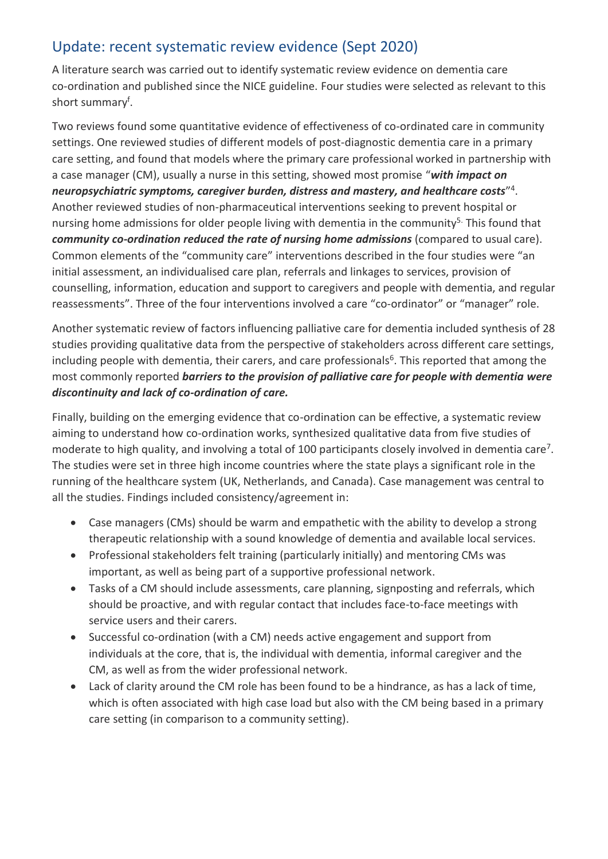# Update: recent systematic review evidence (Sept 2020)

A literature search was carried out to identify systematic review evidence on dementia care co-ordination and published since the NICE guideline. Four studies were selected as relevant to this short summary<sup>f</sup>.

Two reviews found some quantitative evidence of effectiveness of co-ordinated care in community settings. One reviewed studies of different models of post-diagnostic dementia care in a primary care setting, and found that models where the primary care professional worked in partnership with a case manager (CM), usually a nurse in this setting, showed most promise "*with impact on neuropsychiatric symptoms, caregiver burden, distress and mastery, and healthcare costs*" 4 . Another reviewed studies of non-pharmaceutical interventions seeking to prevent hospital or nursing home admissions for older people living with dementia in the community<sup>5.</sup> This found that *community co-ordination reduced the rate of nursing home admissions* (compared to usual care). Common elements of the "community care" interventions described in the four studies were "an initial assessment, an individualised care plan, referrals and linkages to services, provision of counselling, information, education and support to caregivers and people with dementia, and regular reassessments". Three of the four interventions involved a care "co-ordinator" or "manager" role.

Another systematic review of factors influencing palliative care for dementia included synthesis of 28 studies providing qualitative data from the perspective of stakeholders across different care settings, including people with dementia, their carers, and care professionals<sup>6</sup>. This reported that among the most commonly reported *barriers to the provision of palliative care for people with dementia were discontinuity and lack of co-ordination of care.*

Finally, building on the emerging evidence that co-ordination can be effective, a systematic review aiming to understand how co-ordination works, synthesized qualitative data from five studies of moderate to high quality, and involving a total of 100 participants closely involved in dementia care<sup>7</sup>. The studies were set in three high income countries where the state plays a significant role in the running of the healthcare system (UK, Netherlands, and Canada). Case management was central to all the studies. Findings included consistency/agreement in:

- Case managers (CMs) should be warm and empathetic with the ability to develop a strong therapeutic relationship with a sound knowledge of dementia and available local services.
- Professional stakeholders felt training (particularly initially) and mentoring CMs was important, as well as being part of a supportive professional network.
- Tasks of a CM should include assessments, care planning, signposting and referrals, which should be proactive, and with regular contact that includes face-to-face meetings with service users and their carers.
- Successful co-ordination (with a CM) needs active engagement and support from individuals at the core, that is, the individual with dementia, informal caregiver and the CM, as well as from the wider professional network.
- Lack of clarity around the CM role has been found to be a hindrance, as has a lack of time, which is often associated with high case load but also with the CM being based in a primary care setting (in comparison to a community setting).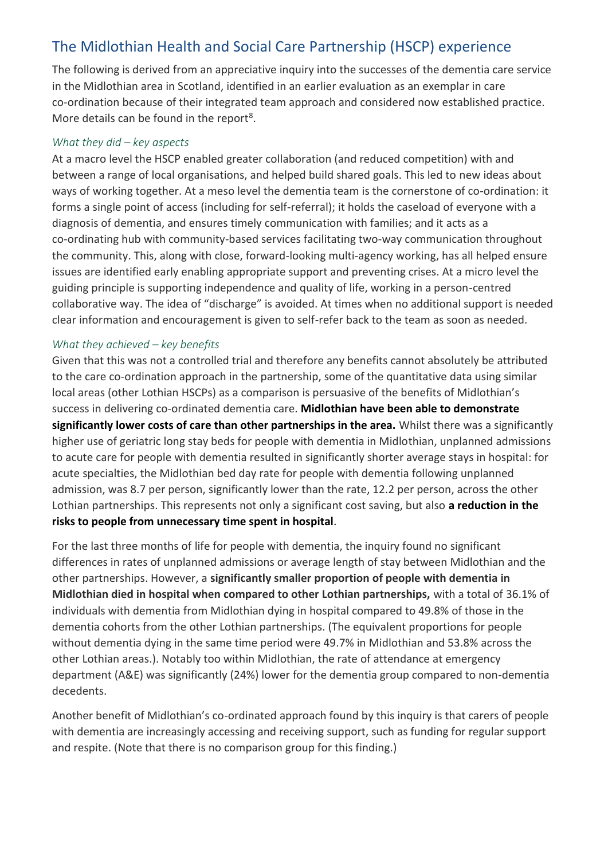# The Midlothian Health and Social Care Partnership (HSCP) experience

The following is derived from an appreciative inquiry into the successes of the dementia care service in the Midlothian area in Scotland, identified in an earlier evaluation as an exemplar in care co-ordination because of their integrated team approach and considered now established practice. More details can be found in the report<sup>8</sup>.

#### *What they did – key aspects*

At a macro level the HSCP enabled greater collaboration (and reduced competition) with and between a range of local organisations, and helped build shared goals. This led to new ideas about ways of working together. At a meso level the dementia team is the cornerstone of co-ordination: it forms a single point of access (including for self-referral); it holds the caseload of everyone with a diagnosis of dementia, and ensures timely communication with families; and it acts as a co-ordinating hub with community-based services facilitating two-way communication throughout the community. This, along with close, forward-looking multi-agency working, has all helped ensure issues are identified early enabling appropriate support and preventing crises. At a micro level the guiding principle is supporting independence and quality of life, working in a person-centred collaborative way. The idea of "discharge" is avoided. At times when no additional support is needed clear information and encouragement is given to self-refer back to the team as soon as needed.

#### *What they achieved – key benefits*

Given that this was not a controlled trial and therefore any benefits cannot absolutely be attributed to the care co-ordination approach in the partnership, some of the quantitative data using similar local areas (other Lothian HSCPs) as a comparison is persuasive of the benefits of Midlothian's success in delivering co-ordinated dementia care. **Midlothian have been able to demonstrate significantly lower costs of care than other partnerships in the area.** Whilst there was a significantly higher use of geriatric long stay beds for people with dementia in Midlothian, unplanned admissions to acute care for people with dementia resulted in significantly shorter average stays in hospital: for acute specialties, the Midlothian bed day rate for people with dementia following unplanned admission, was 8.7 per person, significantly lower than the rate, 12.2 per person, across the other Lothian partnerships. This represents not only a significant cost saving, but also **a reduction in the risks to people from unnecessary time spent in hospital**.

For the last three months of life for people with dementia, the inquiry found no significant differences in rates of unplanned admissions or average length of stay between Midlothian and the other partnerships. However, a **significantly smaller proportion of people with dementia in Midlothian died in hospital when compared to other Lothian partnerships,** with a total of 36.1% of individuals with dementia from Midlothian dying in hospital compared to 49.8% of those in the dementia cohorts from the other Lothian partnerships. (The equivalent proportions for people without dementia dying in the same time period were 49.7% in Midlothian and 53.8% across the other Lothian areas.). Notably too within Midlothian, the rate of attendance at emergency department (A&E) was significantly (24%) lower for the dementia group compared to non-dementia decedents.

Another benefit of Midlothian's co-ordinated approach found by this inquiry is that carers of people with dementia are increasingly accessing and receiving support, such as funding for regular support and respite. (Note that there is no comparison group for this finding.)